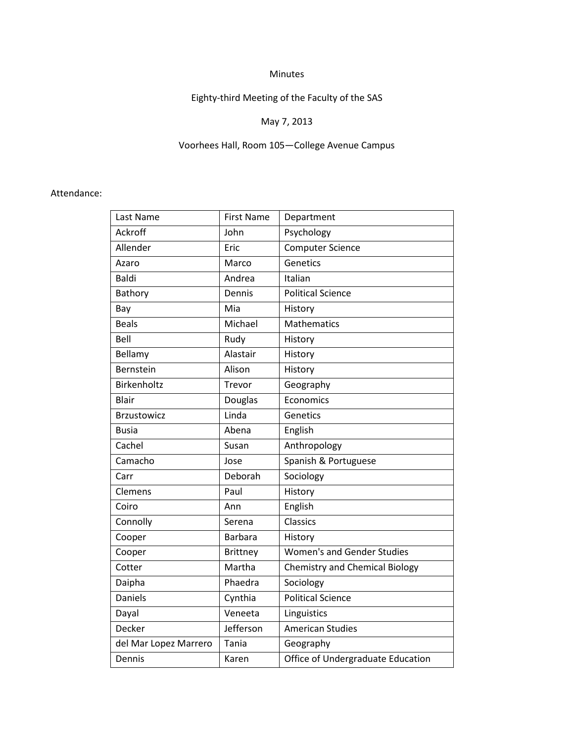#### Minutes

# Eighty-third Meeting of the Faculty of the SAS

# May 7, 2013

# Voorhees Hall, Room 105—College Avenue Campus

#### Attendance:

| Last Name             | <b>First Name</b> | Department                            |
|-----------------------|-------------------|---------------------------------------|
| Ackroff               | John              | Psychology                            |
| Allender              | Eric              | <b>Computer Science</b>               |
| Azaro                 | Marco             | Genetics                              |
| Baldi                 | Andrea            | Italian                               |
| Bathory               | Dennis            | <b>Political Science</b>              |
| Bay                   | Mia               | History                               |
| <b>Beals</b>          | Michael           | Mathematics                           |
| Bell                  | Rudy              | History                               |
| Bellamy               | Alastair          | History                               |
| Bernstein             | Alison            | History                               |
| Birkenholtz           | Trevor            | Geography                             |
| Blair                 | <b>Douglas</b>    | Economics                             |
| <b>Brzustowicz</b>    | Linda             | Genetics                              |
| Busia                 | Abena             | English                               |
| Cachel                | Susan             | Anthropology                          |
| Camacho               | Jose              | Spanish & Portuguese                  |
| Carr                  | Deborah           | Sociology                             |
| Clemens               | Paul              | History                               |
| Coiro                 | Ann               | English                               |
| Connolly              | Serena            | Classics                              |
| Cooper                | <b>Barbara</b>    | History                               |
| Cooper                | <b>Brittney</b>   | <b>Women's and Gender Studies</b>     |
| Cotter                | Martha            | <b>Chemistry and Chemical Biology</b> |
| Daipha                | Phaedra           | Sociology                             |
| <b>Daniels</b>        | Cynthia           | <b>Political Science</b>              |
| Dayal                 | Veneeta           | Linguistics                           |
| Decker                | Jefferson         | <b>American Studies</b>               |
| del Mar Lopez Marrero | <b>Tania</b>      | Geography                             |
| Dennis                | Karen             | Office of Undergraduate Education     |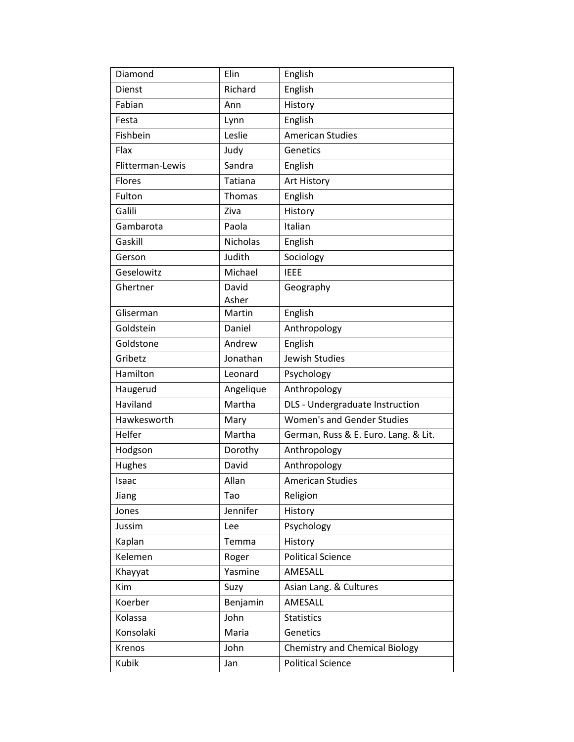| Diamond          | Elin            | English                               |
|------------------|-----------------|---------------------------------------|
| Dienst           | Richard         | English                               |
| Fabian           | Ann             | History                               |
| Festa            | Lynn            | English                               |
| Fishbein         | Leslie          | <b>American Studies</b>               |
| Flax             | Judy            | Genetics                              |
| Flitterman-Lewis | Sandra          | English                               |
| <b>Flores</b>    | <b>Tatiana</b>  | Art History                           |
| Fulton           | Thomas          | English                               |
| Galili           | Ziva            | History                               |
| Gambarota        | Paola           | Italian                               |
| Gaskill          | <b>Nicholas</b> | English                               |
| Gerson           | Judith          | Sociology                             |
| Geselowitz       | Michael         | <b>IEEE</b>                           |
| Ghertner         | David           | Geography                             |
|                  | Asher           |                                       |
| Gliserman        | Martin          | English                               |
| Goldstein        | Daniel          | Anthropology                          |
| Goldstone        | Andrew          | English                               |
| Gribetz          | Jonathan        | Jewish Studies                        |
| Hamilton         | Leonard         | Psychology                            |
| Haugerud         | Angelique       | Anthropology                          |
| Haviland         | Martha          | DLS - Undergraduate Instruction       |
| Hawkesworth      | Mary            | <b>Women's and Gender Studies</b>     |
| Helfer           | Martha          | German, Russ & E. Euro. Lang. & Lit.  |
| Hodgson          | Dorothy         | Anthropology                          |
| Hughes           | David           | Anthropology                          |
| Isaac            | Allan           | <b>American Studies</b>               |
| Jiang            | Tao             | Religion                              |
| Jones            | Jennifer        | History                               |
| Jussim           | Lee             | Psychology                            |
| Kaplan           | Temma           | History                               |
| Kelemen          | Roger           | <b>Political Science</b>              |
| Khayyat          | Yasmine         | AMESALL                               |
| Kim              | Suzy            | Asian Lang. & Cultures                |
| Koerber          | Benjamin        | AMESALL                               |
| Kolassa          | John            | <b>Statistics</b>                     |
| Konsolaki        | Maria           | Genetics                              |
| Krenos           | John            | <b>Chemistry and Chemical Biology</b> |
| Kubik            | Jan             | <b>Political Science</b>              |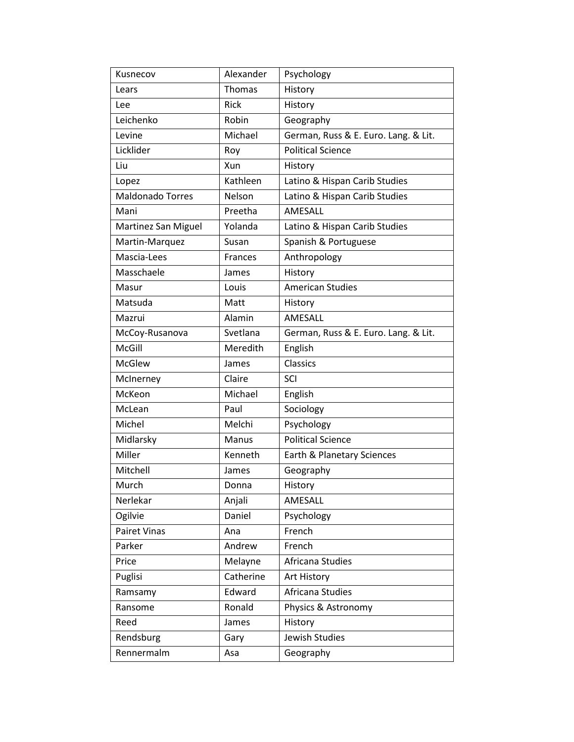| Kusnecov                | Alexander | Psychology                           |
|-------------------------|-----------|--------------------------------------|
| Lears                   | Thomas    | History                              |
| Lee                     | Rick      | History                              |
| Leichenko               | Robin     | Geography                            |
| Levine                  | Michael   | German, Russ & E. Euro. Lang. & Lit. |
| Licklider               | Roy       | <b>Political Science</b>             |
| Liu                     | Xun       | History                              |
| Lopez                   | Kathleen  | Latino & Hispan Carib Studies        |
| <b>Maldonado Torres</b> | Nelson    | Latino & Hispan Carib Studies        |
| Mani                    | Preetha   | AMESALL                              |
| Martinez San Miguel     | Yolanda   | Latino & Hispan Carib Studies        |
| Martin-Marquez          | Susan     | Spanish & Portuguese                 |
| Mascia-Lees             | Frances   | Anthropology                         |
| Masschaele              | James     | History                              |
| Masur                   | Louis     | <b>American Studies</b>              |
| Matsuda                 | Matt      | History                              |
| Mazrui                  | Alamin    | AMESALL                              |
| McCoy-Rusanova          | Svetlana  | German, Russ & E. Euro. Lang. & Lit. |
| McGill                  | Meredith  | English                              |
| <b>McGlew</b>           | James     | Classics                             |
| McInerney               | Claire    | SCI                                  |
| McKeon                  | Michael   | English                              |
| McLean                  | Paul      | Sociology                            |
| Michel                  | Melchi    | Psychology                           |
| Midlarsky               | Manus     | <b>Political Science</b>             |
| Miller                  | Kenneth   | Earth & Planetary Sciences           |
| Mitchell                | James     | Geography                            |
| Murch                   | Donna     | History                              |
| Nerlekar                | Anjali    | AMESALL                              |
| Ogilvie                 | Daniel    | Psychology                           |
| Pairet Vinas            | Ana       | French                               |
| Parker                  | Andrew    | French                               |
| Price                   | Melayne   | Africana Studies                     |
| Puglisi                 | Catherine | Art History                          |
| Ramsamy                 | Edward    | Africana Studies                     |
| Ransome                 | Ronald    | Physics & Astronomy                  |
| Reed                    | James     | History                              |
| Rendsburg               | Gary      | Jewish Studies                       |
| Rennermalm              | Asa       | Geography                            |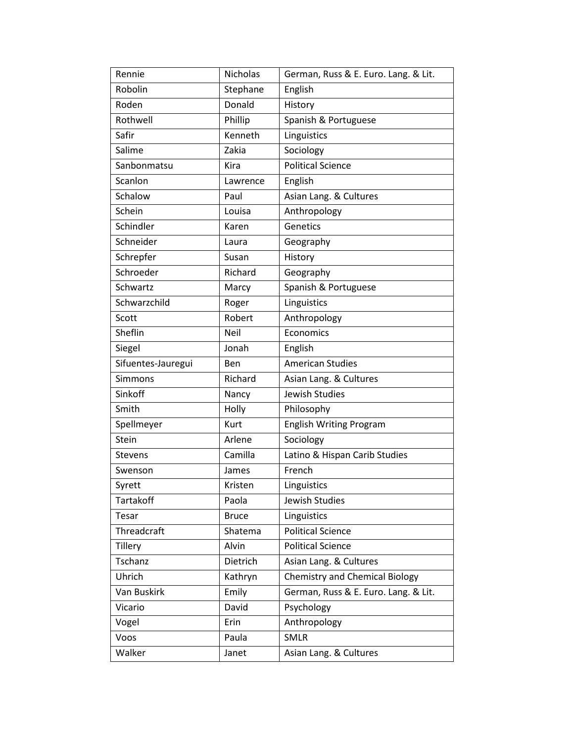| Rennie             | Nicholas     | German, Russ & E. Euro. Lang. & Lit.  |
|--------------------|--------------|---------------------------------------|
| Robolin            | Stephane     | English                               |
| Roden              | Donald       | History                               |
| Rothwell           | Phillip      | Spanish & Portuguese                  |
| Safir              | Kenneth      | Linguistics                           |
| Salime             | Zakia        | Sociology                             |
| Sanbonmatsu        | Kira         | <b>Political Science</b>              |
| Scanlon            | Lawrence     | English                               |
| Schalow            | Paul         | Asian Lang. & Cultures                |
| Schein             | Louisa       | Anthropology                          |
| Schindler          | Karen        | Genetics                              |
| Schneider          | Laura        | Geography                             |
| Schrepfer          | Susan        | History                               |
| Schroeder          | Richard      | Geography                             |
| Schwartz           | Marcy        | Spanish & Portuguese                  |
| Schwarzchild       | Roger        | Linguistics                           |
| Scott              | Robert       | Anthropology                          |
| Sheflin            | Neil         | Economics                             |
| Siegel             | Jonah        | English                               |
| Sifuentes-Jauregui | Ben          | <b>American Studies</b>               |
| <b>Simmons</b>     | Richard      | Asian Lang. & Cultures                |
| Sinkoff            | Nancy        | Jewish Studies                        |
| Smith              | Holly        | Philosophy                            |
| Spellmeyer         | Kurt         | <b>English Writing Program</b>        |
| Stein              | Arlene       | Sociology                             |
| Stevens            | Camilla      | Latino & Hispan Carib Studies         |
| Swenson            | James        | French                                |
| Syrett             | Kristen      | Linguistics                           |
| Tartakoff          | Paola        | Jewish Studies                        |
| Tesar              | <b>Bruce</b> | Linguistics                           |
| Threadcraft        | Shatema      | <b>Political Science</b>              |
| <b>Tillery</b>     | Alvin        | <b>Political Science</b>              |
| Tschanz            | Dietrich     | Asian Lang. & Cultures                |
| Uhrich             | Kathryn      | <b>Chemistry and Chemical Biology</b> |
| Van Buskirk        | Emily        | German, Russ & E. Euro. Lang. & Lit.  |
| Vicario            | David        | Psychology                            |
| Vogel              | Erin         | Anthropology                          |
| Voos               | Paula        | <b>SMLR</b>                           |
| Walker             | Janet        | Asian Lang. & Cultures                |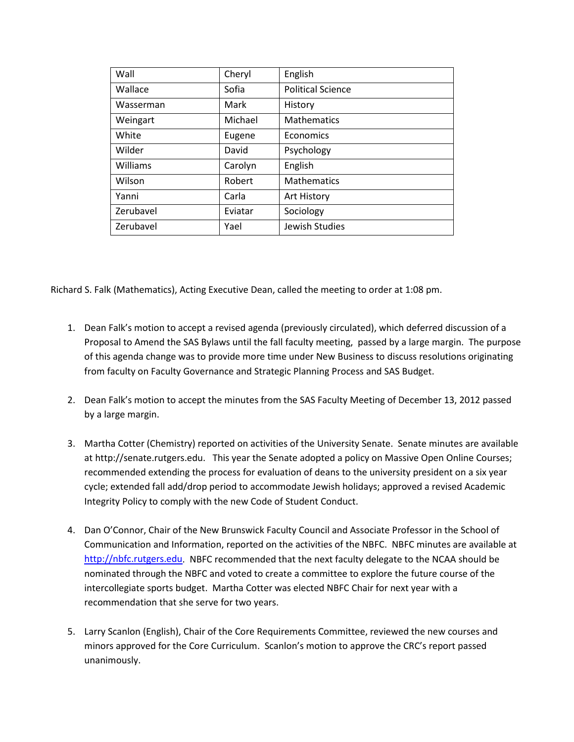| Wall      | Cheryl  | English                  |
|-----------|---------|--------------------------|
| Wallace   | Sofia   | <b>Political Science</b> |
| Wasserman | Mark    | History                  |
| Weingart  | Michael | <b>Mathematics</b>       |
| White     | Eugene  | Economics                |
| Wilder    | David   | Psychology               |
| Williams  | Carolyn | English                  |
| Wilson    | Robert  | <b>Mathematics</b>       |
| Yanni     | Carla   | Art History              |
| Zerubavel | Eviatar | Sociology                |
| Zerubavel | Yael    | Jewish Studies           |

Richard S. Falk (Mathematics), Acting Executive Dean, called the meeting to order at 1:08 pm.

- 1. Dean Falk's motion to accept a revised agenda (previously circulated), which deferred discussion of a Proposal to Amend the SAS Bylaws until the fall faculty meeting, passed by a large margin. The purpose of this agenda change was to provide more time under New Business to discuss resolutions originating from faculty on Faculty Governance and Strategic Planning Process and SAS Budget.
- 2. Dean Falk's motion to accept the minutes from the SAS Faculty Meeting of December 13, 2012 passed by a large margin.
- 3. Martha Cotter (Chemistry) reported on activities of the University Senate. Senate minutes are available at http://senate.rutgers.edu. This year the Senate adopted a policy on Massive Open Online Courses; recommended extending the process for evaluation of deans to the university president on a six year cycle; extended fall add/drop period to accommodate Jewish holidays; approved a revised Academic Integrity Policy to comply with the new Code of Student Conduct.
- 4. Dan O'Connor, Chair of the New Brunswick Faculty Council and Associate Professor in the School of Communication and Information, reported on the activities of the NBFC. NBFC minutes are available at [http://nbfc.rutgers.edu.](http://nbfc.rutgers.edu/) NBFC recommended that the next faculty delegate to the NCAA should be nominated through the NBFC and voted to create a committee to explore the future course of the intercollegiate sports budget. Martha Cotter was elected NBFC Chair for next year with a recommendation that she serve for two years.
- 5. Larry Scanlon (English), Chair of the Core Requirements Committee, reviewed the new courses and minors approved for the Core Curriculum. Scanlon's motion to approve the CRC's report passed unanimously.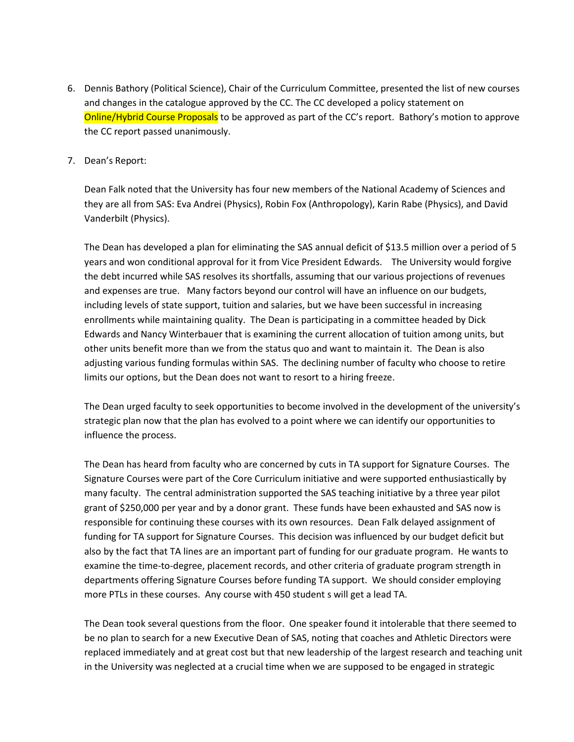- 6. Dennis Bathory (Political Science), Chair of the Curriculum Committee, presented the list of new courses and changes in the catalogue approved by the CC. The CC developed a policy statement on **Online/Hybrid Course Proposals** to be approved as part of the CC's report. Bathory's motion to approve the CC report passed unanimously.
- 7. Dean's Report:

Dean Falk noted that the University has four new members of the National Academy of Sciences and they are all from SAS: Eva Andrei (Physics), Robin Fox (Anthropology), Karin Rabe (Physics), and David Vanderbilt (Physics).

The Dean has developed a plan for eliminating the SAS annual deficit of \$13.5 million over a period of 5 years and won conditional approval for it from Vice President Edwards. The University would forgive the debt incurred while SAS resolves its shortfalls, assuming that our various projections of revenues and expenses are true. Many factors beyond our control will have an influence on our budgets, including levels of state support, tuition and salaries, but we have been successful in increasing enrollments while maintaining quality. The Dean is participating in a committee headed by Dick Edwards and Nancy Winterbauer that is examining the current allocation of tuition among units, but other units benefit more than we from the status quo and want to maintain it. The Dean is also adjusting various funding formulas within SAS. The declining number of faculty who choose to retire limits our options, but the Dean does not want to resort to a hiring freeze.

The Dean urged faculty to seek opportunities to become involved in the development of the university's strategic plan now that the plan has evolved to a point where we can identify our opportunities to influence the process.

The Dean has heard from faculty who are concerned by cuts in TA support for Signature Courses. The Signature Courses were part of the Core Curriculum initiative and were supported enthusiastically by many faculty. The central administration supported the SAS teaching initiative by a three year pilot grant of \$250,000 per year and by a donor grant. These funds have been exhausted and SAS now is responsible for continuing these courses with its own resources. Dean Falk delayed assignment of funding for TA support for Signature Courses. This decision was influenced by our budget deficit but also by the fact that TA lines are an important part of funding for our graduate program. He wants to examine the time-to-degree, placement records, and other criteria of graduate program strength in departments offering Signature Courses before funding TA support. We should consider employing more PTLs in these courses. Any course with 450 student s will get a lead TA.

The Dean took several questions from the floor. One speaker found it intolerable that there seemed to be no plan to search for a new Executive Dean of SAS, noting that coaches and Athletic Directors were replaced immediately and at great cost but that new leadership of the largest research and teaching unit in the University was neglected at a crucial time when we are supposed to be engaged in strategic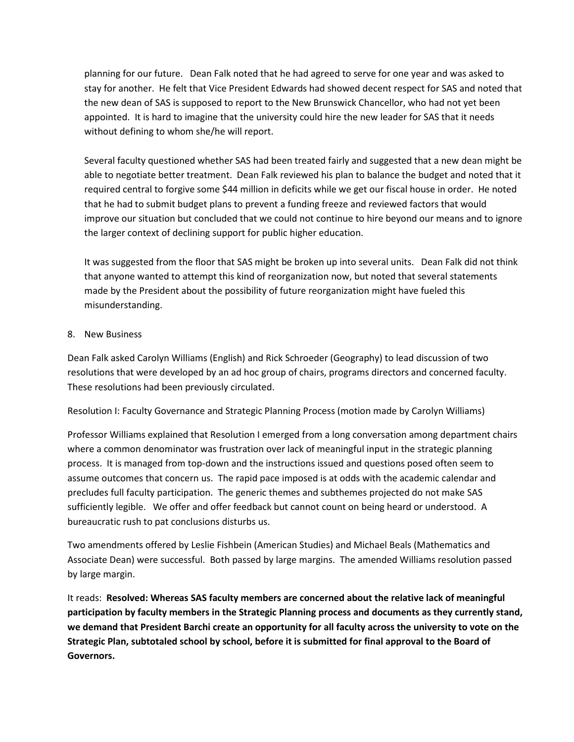planning for our future. Dean Falk noted that he had agreed to serve for one year and was asked to stay for another. He felt that Vice President Edwards had showed decent respect for SAS and noted that the new dean of SAS is supposed to report to the New Brunswick Chancellor, who had not yet been appointed. It is hard to imagine that the university could hire the new leader for SAS that it needs without defining to whom she/he will report.

Several faculty questioned whether SAS had been treated fairly and suggested that a new dean might be able to negotiate better treatment. Dean Falk reviewed his plan to balance the budget and noted that it required central to forgive some \$44 million in deficits while we get our fiscal house in order. He noted that he had to submit budget plans to prevent a funding freeze and reviewed factors that would improve our situation but concluded that we could not continue to hire beyond our means and to ignore the larger context of declining support for public higher education.

It was suggested from the floor that SAS might be broken up into several units. Dean Falk did not think that anyone wanted to attempt this kind of reorganization now, but noted that several statements made by the President about the possibility of future reorganization might have fueled this misunderstanding.

#### 8. New Business

Dean Falk asked Carolyn Williams (English) and Rick Schroeder (Geography) to lead discussion of two resolutions that were developed by an ad hoc group of chairs, programs directors and concerned faculty. These resolutions had been previously circulated.

Resolution I: Faculty Governance and Strategic Planning Process (motion made by Carolyn Williams)

Professor Williams explained that Resolution I emerged from a long conversation among department chairs where a common denominator was frustration over lack of meaningful input in the strategic planning process. It is managed from top-down and the instructions issued and questions posed often seem to assume outcomes that concern us. The rapid pace imposed is at odds with the academic calendar and precludes full faculty participation. The generic themes and subthemes projected do not make SAS sufficiently legible. We offer and offer feedback but cannot count on being heard or understood. A bureaucratic rush to pat conclusions disturbs us.

Two amendments offered by Leslie Fishbein (American Studies) and Michael Beals (Mathematics and Associate Dean) were successful. Both passed by large margins. The amended Williams resolution passed by large margin.

It reads: **Resolved: Whereas SAS faculty members are concerned about the relative lack of meaningful participation by faculty members in the Strategic Planning process and documents as they currently stand, we demand that President Barchi create an opportunity for all faculty across the university to vote on the Strategic Plan, subtotaled school by school, before it is submitted for final approval to the Board of Governors.**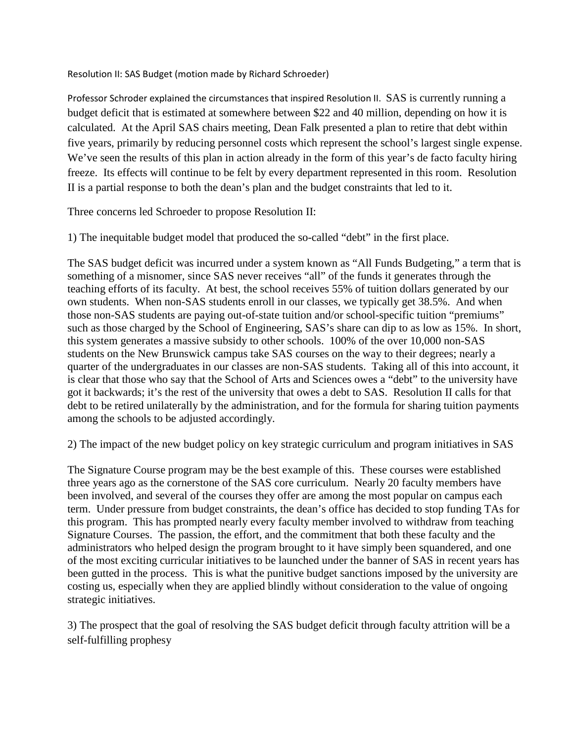Resolution II: SAS Budget (motion made by Richard Schroeder)

Professor Schroder explained the circumstances that inspired Resolution II. SAS is currently running a budget deficit that is estimated at somewhere between \$22 and 40 million, depending on how it is calculated. At the April SAS chairs meeting, Dean Falk presented a plan to retire that debt within five years, primarily by reducing personnel costs which represent the school's largest single expense. We've seen the results of this plan in action already in the form of this year's de facto faculty hiring freeze. Its effects will continue to be felt by every department represented in this room. Resolution II is a partial response to both the dean's plan and the budget constraints that led to it.

Three concerns led Schroeder to propose Resolution II:

1) The inequitable budget model that produced the so-called "debt" in the first place.

The SAS budget deficit was incurred under a system known as "All Funds Budgeting," a term that is something of a misnomer, since SAS never receives "all" of the funds it generates through the teaching efforts of its faculty. At best, the school receives 55% of tuition dollars generated by our own students. When non-SAS students enroll in our classes, we typically get 38.5%. And when those non-SAS students are paying out-of-state tuition and/or school-specific tuition "premiums" such as those charged by the School of Engineering, SAS's share can dip to as low as 15%. In short, this system generates a massive subsidy to other schools. 100% of the over 10,000 non-SAS students on the New Brunswick campus take SAS courses on the way to their degrees; nearly a quarter of the undergraduates in our classes are non-SAS students. Taking all of this into account, it is clear that those who say that the School of Arts and Sciences owes a "debt" to the university have got it backwards; it's the rest of the university that owes a debt to SAS. Resolution II calls for that debt to be retired unilaterally by the administration, and for the formula for sharing tuition payments among the schools to be adjusted accordingly.

2) The impact of the new budget policy on key strategic curriculum and program initiatives in SAS

The Signature Course program may be the best example of this. These courses were established three years ago as the cornerstone of the SAS core curriculum. Nearly 20 faculty members have been involved, and several of the courses they offer are among the most popular on campus each term. Under pressure from budget constraints, the dean's office has decided to stop funding TAs for this program. This has prompted nearly every faculty member involved to withdraw from teaching Signature Courses. The passion, the effort, and the commitment that both these faculty and the administrators who helped design the program brought to it have simply been squandered, and one of the most exciting curricular initiatives to be launched under the banner of SAS in recent years has been gutted in the process. This is what the punitive budget sanctions imposed by the university are costing us, especially when they are applied blindly without consideration to the value of ongoing strategic initiatives.

3) The prospect that the goal of resolving the SAS budget deficit through faculty attrition will be a self-fulfilling prophesy